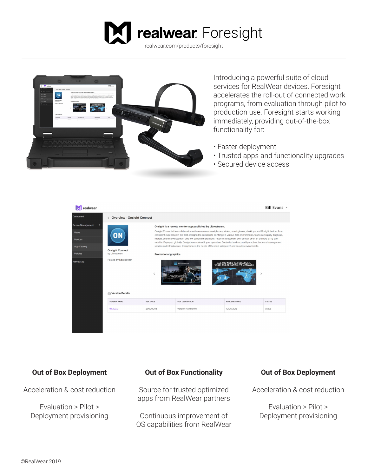



Introducing a powerful suite of cloud services for RealWear devices. Foresight accelerates the roll-out of connected work programs, from evaluation through pilot to production use. Foresight starts working immediately, providing out-of-the-box functionality for:

- Faster deployment
- Trusted apps and functionality upgrades
- Secured device access



# **Out of Box Deployment**

Acceleration & cost reduction

Evaluation > Pilot > Deployment provisioning

# **Out of Box Functionality**

Source for trusted optimized apps from RealWear partners

Continuous improvement of OS capabilities from RealWear

# **Out of Box Deployment**

Acceleration & cost reduction

Evaluation > Pilot > Deployment provisioning